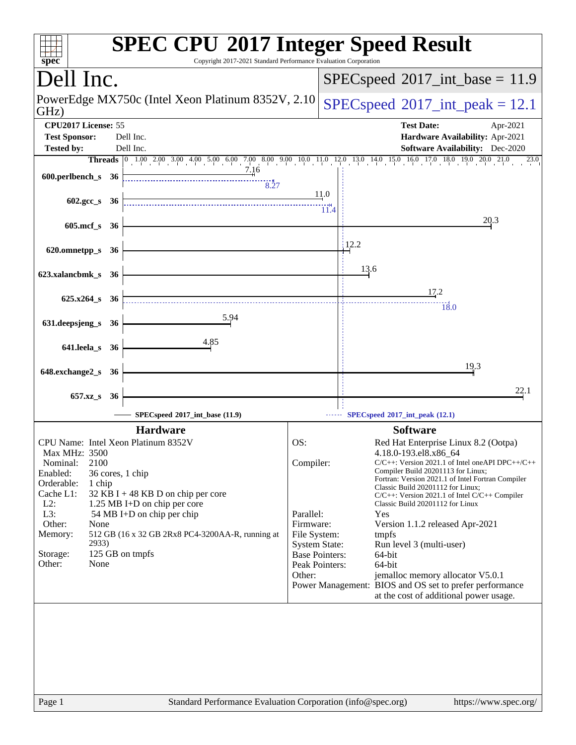| Copyright 2017-2021 Standard Performance Evaluation Corporation<br>spec <sup>®</sup>                                                                                                                                                                                                                                                                                                                                    | <b>SPEC CPU®2017 Integer Speed Result</b>                                                                                                                                                                                                                                                                                                                                                                                                                                                                                                                                                                                                                                                                                        |
|-------------------------------------------------------------------------------------------------------------------------------------------------------------------------------------------------------------------------------------------------------------------------------------------------------------------------------------------------------------------------------------------------------------------------|----------------------------------------------------------------------------------------------------------------------------------------------------------------------------------------------------------------------------------------------------------------------------------------------------------------------------------------------------------------------------------------------------------------------------------------------------------------------------------------------------------------------------------------------------------------------------------------------------------------------------------------------------------------------------------------------------------------------------------|
| Dell Inc.                                                                                                                                                                                                                                                                                                                                                                                                               | $SPEC speed^{\circ}2017\_int\_base = 11.9$                                                                                                                                                                                                                                                                                                                                                                                                                                                                                                                                                                                                                                                                                       |
| PowerEdge MX750c (Intel Xeon Platinum 8352V, 2.10)<br>GHz)                                                                                                                                                                                                                                                                                                                                                              | $SPEC speed^{\circ}2017\_int\_peak = 12.1$                                                                                                                                                                                                                                                                                                                                                                                                                                                                                                                                                                                                                                                                                       |
| CPU2017 License: 55<br><b>Test Sponsor:</b><br>Dell Inc.                                                                                                                                                                                                                                                                                                                                                                | <b>Test Date:</b><br>Apr-2021<br>Hardware Availability: Apr-2021                                                                                                                                                                                                                                                                                                                                                                                                                                                                                                                                                                                                                                                                 |
| Dell Inc.<br><b>Tested by:</b>                                                                                                                                                                                                                                                                                                                                                                                          | <b>Software Availability:</b> Dec-2020                                                                                                                                                                                                                                                                                                                                                                                                                                                                                                                                                                                                                                                                                           |
|                                                                                                                                                                                                                                                                                                                                                                                                                         | Threads 0 1.00 2.00 3.00 4.00 5.00 6.00 7.00 8.00 9.00 10.0 11.0 12.0 13.0 14.0 15.0 16.0 17.0 18.0 19.0 20.0 21.0<br>23.0                                                                                                                                                                                                                                                                                                                                                                                                                                                                                                                                                                                                       |
| 7.16<br>600.perlbench_s 36<br>8.27                                                                                                                                                                                                                                                                                                                                                                                      |                                                                                                                                                                                                                                                                                                                                                                                                                                                                                                                                                                                                                                                                                                                                  |
| 602.gcc $s$ 36                                                                                                                                                                                                                                                                                                                                                                                                          | 11.0<br>11.4                                                                                                                                                                                                                                                                                                                                                                                                                                                                                                                                                                                                                                                                                                                     |
| 605.mcf_s 36                                                                                                                                                                                                                                                                                                                                                                                                            | 20.3                                                                                                                                                                                                                                                                                                                                                                                                                                                                                                                                                                                                                                                                                                                             |
| 620.omnetpp_s<br>- 36                                                                                                                                                                                                                                                                                                                                                                                                   | 12.2                                                                                                                                                                                                                                                                                                                                                                                                                                                                                                                                                                                                                                                                                                                             |
| 623.xalancbmk_s 36                                                                                                                                                                                                                                                                                                                                                                                                      | 13.6                                                                                                                                                                                                                                                                                                                                                                                                                                                                                                                                                                                                                                                                                                                             |
| $625.x264$ s 36                                                                                                                                                                                                                                                                                                                                                                                                         | 17.2<br>18.0                                                                                                                                                                                                                                                                                                                                                                                                                                                                                                                                                                                                                                                                                                                     |
| 5.94<br>631.deepsjeng_s 36                                                                                                                                                                                                                                                                                                                                                                                              |                                                                                                                                                                                                                                                                                                                                                                                                                                                                                                                                                                                                                                                                                                                                  |
| 4.85<br>641.leela_s 36                                                                                                                                                                                                                                                                                                                                                                                                  |                                                                                                                                                                                                                                                                                                                                                                                                                                                                                                                                                                                                                                                                                                                                  |
| 648.exchange2_s 36                                                                                                                                                                                                                                                                                                                                                                                                      | 19.3                                                                                                                                                                                                                                                                                                                                                                                                                                                                                                                                                                                                                                                                                                                             |
| $657.xz$ <sub>_S</sub><br>- 36                                                                                                                                                                                                                                                                                                                                                                                          | 22.1                                                                                                                                                                                                                                                                                                                                                                                                                                                                                                                                                                                                                                                                                                                             |
| SPECspeed®2017_int_base (11.9)                                                                                                                                                                                                                                                                                                                                                                                          | --- SPECspeed®2017_int_peak (12.1)                                                                                                                                                                                                                                                                                                                                                                                                                                                                                                                                                                                                                                                                                               |
| <b>Hardware</b>                                                                                                                                                                                                                                                                                                                                                                                                         | <b>Software</b>                                                                                                                                                                                                                                                                                                                                                                                                                                                                                                                                                                                                                                                                                                                  |
| CPU Name: Intel Xeon Platinum 8352V<br><b>Max MHz: 3500</b><br>2100<br>Nominal:<br>Enabled:<br>36 cores, 1 chip<br>Orderable:<br>1 chip<br>Cache L1:<br>32 KB I + 48 KB D on chip per core<br>$L2$ :<br>1.25 MB I+D on chip per core<br>$L3$ :<br>54 MB I+D on chip per chip<br>Other:<br>None<br>Memory:<br>512 GB (16 x 32 GB 2Rx8 PC4-3200AA-R, running at<br>2933)<br>125 GB on tmpfs<br>Storage:<br>None<br>Other: | OS:<br>Red Hat Enterprise Linux 8.2 (Ootpa)<br>4.18.0-193.el8.x86_64<br>Compiler:<br>$C/C++$ : Version 2021.1 of Intel one API DPC++/C++<br>Compiler Build 20201113 for Linux;<br>Fortran: Version 2021.1 of Intel Fortran Compiler<br>Classic Build 20201112 for Linux;<br>C/C++: Version 2021.1 of Intel C/C++ Compiler<br>Classic Build 20201112 for Linux<br>Parallel:<br>Yes<br>Firmware:<br>Version 1.1.2 released Apr-2021<br>File System:<br>tmpfs<br><b>System State:</b><br>Run level 3 (multi-user)<br><b>Base Pointers:</b><br>64-bit<br>Peak Pointers:<br>64-bit<br>Other:<br>jemalloc memory allocator V5.0.1<br>Power Management: BIOS and OS set to prefer performance<br>at the cost of additional power usage. |
| Page 1                                                                                                                                                                                                                                                                                                                                                                                                                  | Standard Performance Evaluation Corporation (info@spec.org)<br>https://www.spec.org/                                                                                                                                                                                                                                                                                                                                                                                                                                                                                                                                                                                                                                             |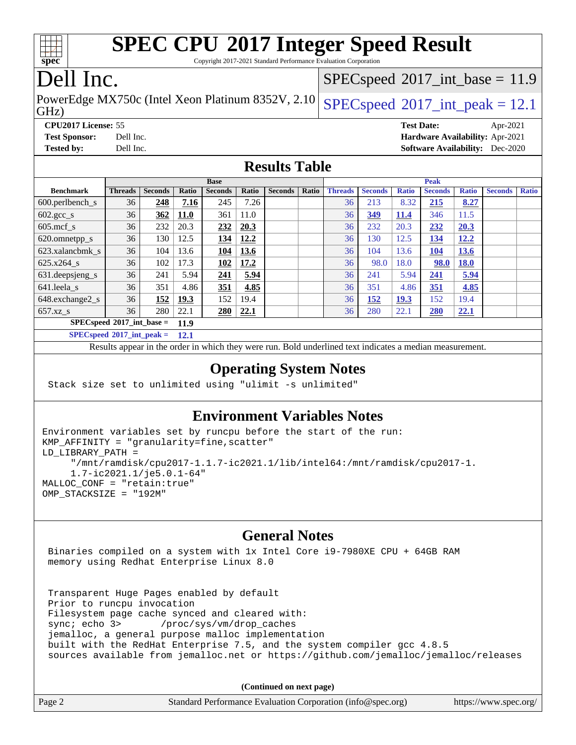|  | speo | L. |  |
|--|------|----|--|

Copyright 2017-2021 Standard Performance Evaluation Corporation

# Dell Inc.

GHz) PowerEdge MX750c (Intel Xeon Platinum 8352V, 2.10 [SPECspeed](http://www.spec.org/auto/cpu2017/Docs/result-fields.html#SPECspeed2017intpeak)®[2017\\_int\\_peak = 1](http://www.spec.org/auto/cpu2017/Docs/result-fields.html#SPECspeed2017intpeak)2.1

 $SPECspeed^{\circledcirc}2017\_int\_base = 11.9$  $SPECspeed^{\circledcirc}2017\_int\_base = 11.9$ 

**[CPU2017 License:](http://www.spec.org/auto/cpu2017/Docs/result-fields.html#CPU2017License)** 55 **[Test Date:](http://www.spec.org/auto/cpu2017/Docs/result-fields.html#TestDate)** Apr-2021 **[Test Sponsor:](http://www.spec.org/auto/cpu2017/Docs/result-fields.html#TestSponsor)** Dell Inc. **[Hardware Availability:](http://www.spec.org/auto/cpu2017/Docs/result-fields.html#HardwareAvailability)** Apr-2021 **[Tested by:](http://www.spec.org/auto/cpu2017/Docs/result-fields.html#Testedby)** Dell Inc. **[Software Availability:](http://www.spec.org/auto/cpu2017/Docs/result-fields.html#SoftwareAvailability)** Dec-2020

### **[Results Table](http://www.spec.org/auto/cpu2017/Docs/result-fields.html#ResultsTable)**

|                                     |                |                |             | <b>Base</b>    |       |                |       |                |                |              | <b>Peak</b>    |              |                |              |
|-------------------------------------|----------------|----------------|-------------|----------------|-------|----------------|-------|----------------|----------------|--------------|----------------|--------------|----------------|--------------|
| <b>Benchmark</b>                    | <b>Threads</b> | <b>Seconds</b> | Ratio       | <b>Seconds</b> | Ratio | <b>Seconds</b> | Ratio | <b>Threads</b> | <b>Seconds</b> | <b>Ratio</b> | <b>Seconds</b> | <b>Ratio</b> | <b>Seconds</b> | <b>Ratio</b> |
| $600.$ perlbench $_s$               | 36             | 248            | 7.16        | 245            | 7.26  |                |       | 36             | 213            | 8.32         | 215            | 8.27         |                |              |
| $602 \text{.} \text{gcc}\text{.}$ s | 36             | 362            | <b>11.0</b> | 361            | 11.0  |                |       | 36             | 349            | <b>11.4</b>  | 346            | 11.5         |                |              |
| $605$ .mcf s                        | 36             | 232            | 20.3        | 232            | 20.3  |                |       | 36             | 232            | 20.3         | 232            | 20.3         |                |              |
| 620.omnetpp_s                       | 36             | 130            | 12.5        | 134            | 12.2  |                |       | 36             | 130            | 12.5         | <u>134</u>     | 12.2         |                |              |
| 623.xalancbmk s                     | 36             | 104            | 13.6        | <b>104</b>     | 13.6  |                |       | 36             | 104            | 13.6         | <b>104</b>     | 13.6         |                |              |
| 625.x264 s                          | 36             | 102            | 17.3        | 102            | 17.2  |                |       | 36             | 98.0           | 18.0         | 98.0           | 18.0         |                |              |
| 631.deepsjeng_s                     | 36             | 241            | 5.94        | 241            | 5.94  |                |       | 36             | 241            | 5.94         | 241            | 5.94         |                |              |
| 641.leela s                         | 36             | 351            | 4.86        | 351            | 4.85  |                |       | 36             | 351            | 4.86         | 351            | 4.85         |                |              |
| 648.exchange2_s                     | 36             | 152            | 19.3        | 152            | 19.4  |                |       | 36             | <b>152</b>     | <u>19.3</u>  | 152            | 19.4         |                |              |
| 657.xz s                            | 36             | 280            | 22.1        | 280            | 22.1  |                |       | 36             | 280            | 22.1         | <b>280</b>     | 22.1         |                |              |
| $SPECspeed*2017$ _int_base =        |                |                | 11.9        |                |       |                |       |                |                |              |                |              |                |              |
| $SPEC speed*2017\_int\_peak =$      |                |                | 12.1        |                |       |                |       |                |                |              |                |              |                |              |

Results appear in the [order in which they were run.](http://www.spec.org/auto/cpu2017/Docs/result-fields.html#RunOrder) Bold underlined text [indicates a median measurement.](http://www.spec.org/auto/cpu2017/Docs/result-fields.html#Median)

### **[Operating System Notes](http://www.spec.org/auto/cpu2017/Docs/result-fields.html#OperatingSystemNotes)**

Stack size set to unlimited using "ulimit -s unlimited"

## **[Environment Variables Notes](http://www.spec.org/auto/cpu2017/Docs/result-fields.html#EnvironmentVariablesNotes)**

```
Environment variables set by runcpu before the start of the run:
KMP_AFFINITY = "granularity=fine,scatter"
LD_LIBRARY_PATH =
      "/mnt/ramdisk/cpu2017-1.1.7-ic2021.1/lib/intel64:/mnt/ramdisk/cpu2017-1.
      1.7-ic2021.1/je5.0.1-64"
MALLOC_CONF = "retain:true"
OMP_STACKSIZE = "192M"
```
### **[General Notes](http://www.spec.org/auto/cpu2017/Docs/result-fields.html#GeneralNotes)**

 Binaries compiled on a system with 1x Intel Core i9-7980XE CPU + 64GB RAM memory using Redhat Enterprise Linux 8.0

 Transparent Huge Pages enabled by default Prior to runcpu invocation Filesystem page cache synced and cleared with: sync; echo 3> /proc/sys/vm/drop\_caches jemalloc, a general purpose malloc implementation built with the RedHat Enterprise 7.5, and the system compiler gcc 4.8.5 sources available from jemalloc.net or <https://github.com/jemalloc/jemalloc/releases>

**(Continued on next page)**

| Page 2 | Standard Performance Evaluation Corporation (info@spec.org) | https://www.spec.org/ |
|--------|-------------------------------------------------------------|-----------------------|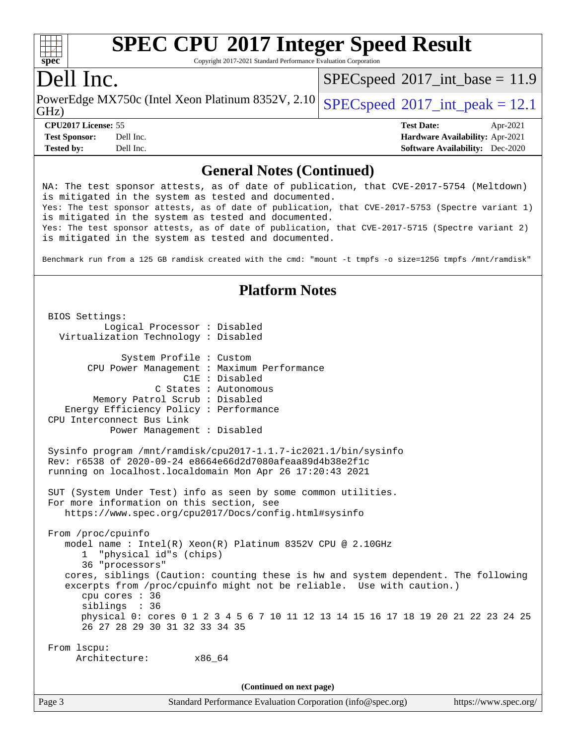

Copyright 2017-2021 Standard Performance Evaluation Corporation

## Dell Inc.

 $SPECspeed^{\circ}2017\_int\_base = 11.9$  $SPECspeed^{\circ}2017\_int\_base = 11.9$ 

GHz) PowerEdge MX750c (Intel Xeon Platinum 8352V, 2.10 [SPECspeed](http://www.spec.org/auto/cpu2017/Docs/result-fields.html#SPECspeed2017intpeak)®[2017\\_int\\_peak = 1](http://www.spec.org/auto/cpu2017/Docs/result-fields.html#SPECspeed2017intpeak)2.1

**[Tested by:](http://www.spec.org/auto/cpu2017/Docs/result-fields.html#Testedby)** Dell Inc. **[Software Availability:](http://www.spec.org/auto/cpu2017/Docs/result-fields.html#SoftwareAvailability)** Dec-2020

**[CPU2017 License:](http://www.spec.org/auto/cpu2017/Docs/result-fields.html#CPU2017License)** 55 **[Test Date:](http://www.spec.org/auto/cpu2017/Docs/result-fields.html#TestDate)** Apr-2021 **[Test Sponsor:](http://www.spec.org/auto/cpu2017/Docs/result-fields.html#TestSponsor)** Dell Inc. **[Hardware Availability:](http://www.spec.org/auto/cpu2017/Docs/result-fields.html#HardwareAvailability)** Apr-2021

### **[General Notes \(Continued\)](http://www.spec.org/auto/cpu2017/Docs/result-fields.html#GeneralNotes)**

NA: The test sponsor attests, as of date of publication, that CVE-2017-5754 (Meltdown) is mitigated in the system as tested and documented. Yes: The test sponsor attests, as of date of publication, that CVE-2017-5753 (Spectre variant 1) is mitigated in the system as tested and documented. Yes: The test sponsor attests, as of date of publication, that CVE-2017-5715 (Spectre variant 2) is mitigated in the system as tested and documented. Benchmark run from a 125 GB ramdisk created with the cmd: "mount -t tmpfs -o size=125G tmpfs /mnt/ramdisk" **[Platform Notes](http://www.spec.org/auto/cpu2017/Docs/result-fields.html#PlatformNotes)** BIOS Settings: Logical Processor : Disabled Virtualization Technology : Disabled System Profile : Custom CPU Power Management : Maximum Performance C1E : Disabled C States : Autonomous Memory Patrol Scrub : Disabled Energy Efficiency Policy : Performance CPU Interconnect Bus Link Power Management : Disabled Sysinfo program /mnt/ramdisk/cpu2017-1.1.7-ic2021.1/bin/sysinfo Rev: r6538 of 2020-09-24 e8664e66d2d7080afeaa89d4b38e2f1c running on localhost.localdomain Mon Apr 26 17:20:43 2021 SUT (System Under Test) info as seen by some common utilities. For more information on this section, see <https://www.spec.org/cpu2017/Docs/config.html#sysinfo> From /proc/cpuinfo model name : Intel(R) Xeon(R) Platinum 8352V CPU @ 2.10GHz 1 "physical id"s (chips) 36 "processors" cores, siblings (Caution: counting these is hw and system dependent. The following excerpts from /proc/cpuinfo might not be reliable. Use with caution.) cpu cores : 36 siblings : 36 physical 0: cores 0 1 2 3 4 5 6 7 10 11 12 13 14 15 16 17 18 19 20 21 22 23 24 25 26 27 28 29 30 31 32 33 34 35 From lscpu: Architecture: x86\_64 **(Continued on next page)**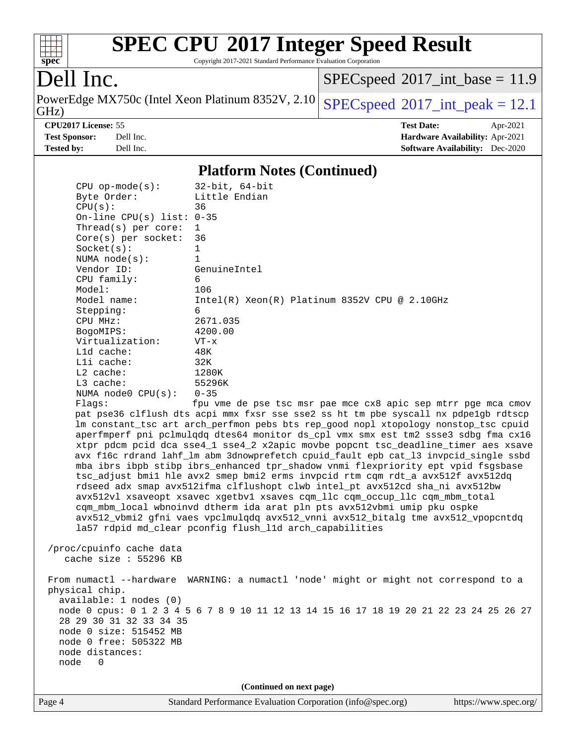

Copyright 2017-2021 Standard Performance Evaluation Corporation

# Dell Inc.

PowerEdge MX750c (Intel Xeon Platinum 8352V, 2.10<br>GHz)

 $SPEC speed$ <sup>®</sup> $2017$ \_int\_base = 11.9

 $SPEC speed$ <sup>®</sup>[2017\\_int\\_peak = 1](http://www.spec.org/auto/cpu2017/Docs/result-fields.html#SPECspeed2017intpeak)2.1

**[CPU2017 License:](http://www.spec.org/auto/cpu2017/Docs/result-fields.html#CPU2017License)** 55 **[Test Date:](http://www.spec.org/auto/cpu2017/Docs/result-fields.html#TestDate)** Apr-2021 **[Test Sponsor:](http://www.spec.org/auto/cpu2017/Docs/result-fields.html#TestSponsor)** Dell Inc. **[Hardware Availability:](http://www.spec.org/auto/cpu2017/Docs/result-fields.html#HardwareAvailability)** Apr-2021 **[Tested by:](http://www.spec.org/auto/cpu2017/Docs/result-fields.html#Testedby)** Dell Inc. **[Software Availability:](http://www.spec.org/auto/cpu2017/Docs/result-fields.html#SoftwareAvailability)** Dec-2020

### **[Platform Notes \(Continued\)](http://www.spec.org/auto/cpu2017/Docs/result-fields.html#PlatformNotes)**

| $CPU$ op-mode( $s$ ):<br>Byte Order:             | $32$ -bit, $64$ -bit<br>Little Endian                                                                                                                              |  |  |  |
|--------------------------------------------------|--------------------------------------------------------------------------------------------------------------------------------------------------------------------|--|--|--|
| CPU(s):                                          | 36                                                                                                                                                                 |  |  |  |
| On-line CPU(s) list: $0-35$                      |                                                                                                                                                                    |  |  |  |
| Thread(s) per core:                              | $\mathbf{1}$                                                                                                                                                       |  |  |  |
| $Core(s)$ per socket:                            | 36                                                                                                                                                                 |  |  |  |
| Socket(s):                                       | 1                                                                                                                                                                  |  |  |  |
| NUMA $node(s):$                                  | 1                                                                                                                                                                  |  |  |  |
| Vendor ID:                                       | GenuineIntel                                                                                                                                                       |  |  |  |
| CPU family:                                      | 6                                                                                                                                                                  |  |  |  |
| Model:<br>Model name:                            | 106<br>Intel(R) Xeon(R) Platinum 8352V CPU @ $2.10$ GHz                                                                                                            |  |  |  |
| Stepping:                                        | 6                                                                                                                                                                  |  |  |  |
| CPU MHz:                                         | 2671.035                                                                                                                                                           |  |  |  |
| BogoMIPS:                                        | 4200.00                                                                                                                                                            |  |  |  |
| Virtualization:                                  | $VT - x$                                                                                                                                                           |  |  |  |
| $L1d$ cache:                                     | 48K                                                                                                                                                                |  |  |  |
| Lli cache:                                       | 32K                                                                                                                                                                |  |  |  |
| $L2$ cache:                                      | 1280K                                                                                                                                                              |  |  |  |
| L3 cache:                                        | 55296K                                                                                                                                                             |  |  |  |
| NUMA node0 CPU(s):                               | $0 - 35$                                                                                                                                                           |  |  |  |
| Flags:                                           | fpu vme de pse tsc msr pae mce cx8 apic sep mtrr pge mca cmov                                                                                                      |  |  |  |
|                                                  | pat pse36 clflush dts acpi mmx fxsr sse sse2 ss ht tm pbe syscall nx pdpe1gb rdtscp                                                                                |  |  |  |
|                                                  | lm constant_tsc art arch_perfmon pebs bts rep_good nopl xtopology nonstop_tsc cpuid                                                                                |  |  |  |
|                                                  | aperfmperf pni pclmulqdq dtes64 monitor ds_cpl vmx smx est tm2 ssse3 sdbg fma cx16                                                                                 |  |  |  |
|                                                  | xtpr pdcm pcid dca sse4_1 sse4_2 x2apic movbe popcnt tsc_deadline_timer aes xsave                                                                                  |  |  |  |
|                                                  | avx f16c rdrand lahf_lm abm 3dnowprefetch cpuid_fault epb cat_13 invpcid_single ssbd                                                                               |  |  |  |
|                                                  | mba ibrs ibpb stibp ibrs_enhanced tpr_shadow vnmi flexpriority ept vpid fsgsbase<br>tsc_adjust bmil hle avx2 smep bmi2 erms invpcid rtm cqm rdt_a avx512f avx512dq |  |  |  |
|                                                  | rdseed adx smap avx512ifma clflushopt clwb intel_pt avx512cd sha_ni avx512bw                                                                                       |  |  |  |
|                                                  | avx512vl xsaveopt xsavec xgetbvl xsaves cqm_llc cqm_occup_llc cqm_mbm_total                                                                                        |  |  |  |
|                                                  | cqm_mbm_local wbnoinvd dtherm ida arat pln pts avx512vbmi umip pku ospke                                                                                           |  |  |  |
|                                                  | avx512_vbmi2 gfni vaes vpclmulqdq avx512_vnni avx512_bitalg tme avx512_vpopcntdq                                                                                   |  |  |  |
|                                                  | la57 rdpid md_clear pconfig flush_lld arch_capabilities                                                                                                            |  |  |  |
|                                                  |                                                                                                                                                                    |  |  |  |
| /proc/cpuinfo cache data                         |                                                                                                                                                                    |  |  |  |
| cache size $: 55296$ KB                          |                                                                                                                                                                    |  |  |  |
|                                                  |                                                                                                                                                                    |  |  |  |
|                                                  | From numactl --hardware WARNING: a numactl 'node' might or might not correspond to a                                                                               |  |  |  |
| physical chip.                                   |                                                                                                                                                                    |  |  |  |
| available: 1 nodes (0)                           |                                                                                                                                                                    |  |  |  |
|                                                  | node 0 cpus: 0 1 2 3 4 5 6 7 8 9 10 11 12 13 14 15 16 17 18 19 20 21 22 23 24 25 26 27                                                                             |  |  |  |
| 28 29 30 31 32 33 34 35                          |                                                                                                                                                                    |  |  |  |
| node 0 size: 515452 MB<br>node 0 free: 505322 MB |                                                                                                                                                                    |  |  |  |
| node distances:                                  |                                                                                                                                                                    |  |  |  |
| node<br>$\Omega$                                 |                                                                                                                                                                    |  |  |  |
|                                                  |                                                                                                                                                                    |  |  |  |
| (Continued on next page)                         |                                                                                                                                                                    |  |  |  |
|                                                  | $C2$ and $C2$ $C3$ $C4$                                                                                                                                            |  |  |  |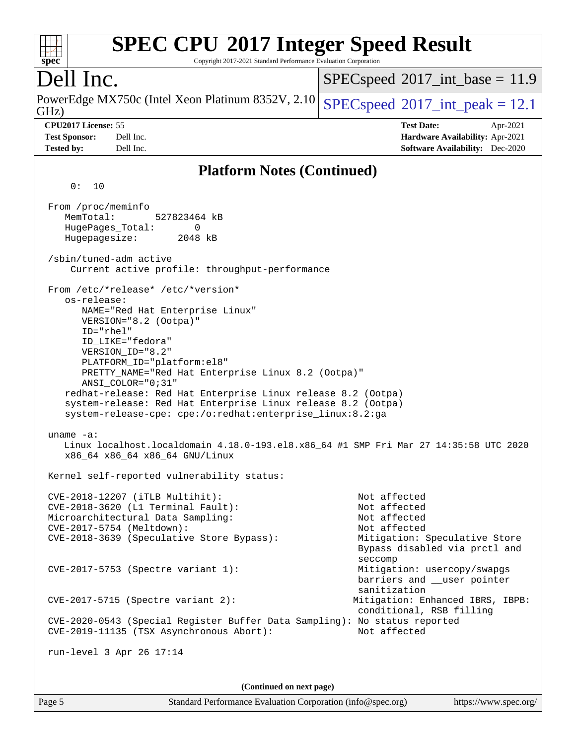| <b>SPEC CPU®2017 Integer Speed Result</b><br>Copyright 2017-2021 Standard Performance Evaluation Corporation<br>spec <sup>®</sup>                                                                                                                                                                                                                                                                                                                                               |                                                                                                                                           |
|---------------------------------------------------------------------------------------------------------------------------------------------------------------------------------------------------------------------------------------------------------------------------------------------------------------------------------------------------------------------------------------------------------------------------------------------------------------------------------|-------------------------------------------------------------------------------------------------------------------------------------------|
| Dell Inc.                                                                                                                                                                                                                                                                                                                                                                                                                                                                       | $SPEC speed^{\circ}2017\_int\_base = 11.9$                                                                                                |
| PowerEdge MX750c (Intel Xeon Platinum 8352V, 2.10)<br>GHz)                                                                                                                                                                                                                                                                                                                                                                                                                      | $SPEC speed^{\circ}2017\_int\_peak = 12.1$                                                                                                |
| CPU2017 License: 55<br><b>Test Sponsor:</b><br>Dell Inc.<br><b>Tested by:</b><br>Dell Inc.                                                                                                                                                                                                                                                                                                                                                                                      | <b>Test Date:</b><br>Apr-2021<br><b>Hardware Availability: Apr-2021</b><br><b>Software Availability:</b> Dec-2020                         |
| <b>Platform Notes (Continued)</b>                                                                                                                                                                                                                                                                                                                                                                                                                                               |                                                                                                                                           |
| 0:<br>10                                                                                                                                                                                                                                                                                                                                                                                                                                                                        |                                                                                                                                           |
| From /proc/meminfo<br>MemTotal:<br>527823464 kB<br>HugePages_Total:<br>$\Omega$<br>Hugepagesize:<br>2048 kB                                                                                                                                                                                                                                                                                                                                                                     |                                                                                                                                           |
| /sbin/tuned-adm active<br>Current active profile: throughput-performance                                                                                                                                                                                                                                                                                                                                                                                                        |                                                                                                                                           |
| From /etc/*release* /etc/*version*<br>os-release:<br>NAME="Red Hat Enterprise Linux"<br>VERSION="8.2 (Ootpa)"<br>ID="rhel"<br>ID_LIKE="fedora"<br>VERSION_ID="8.2"<br>PLATFORM_ID="platform:el8"<br>PRETTY_NAME="Red Hat Enterprise Linux 8.2 (Ootpa)"<br>$ANSI$ _COLOR=" $0:31$ "<br>redhat-release: Red Hat Enterprise Linux release 8.2 (Ootpa)<br>system-release: Red Hat Enterprise Linux release 8.2 (Ootpa)<br>system-release-cpe: cpe:/o:redhat:enterprise_linux:8.2:ga |                                                                                                                                           |
| uname $-a$ :<br>Linux localhost.localdomain 4.18.0-193.el8.x86_64 #1 SMP Fri Mar 27 14:35:58 UTC 2020<br>x86_64 x86_64 x86_64 GNU/Linux                                                                                                                                                                                                                                                                                                                                         |                                                                                                                                           |
| Kernel self-reported vulnerability status:                                                                                                                                                                                                                                                                                                                                                                                                                                      |                                                                                                                                           |
| $CVE-2018-12207$ (iTLB Multihit):<br>CVE-2018-3620 (L1 Terminal Fault):<br>Microarchitectural Data Sampling:<br>CVE-2017-5754 (Meltdown):<br>CVE-2018-3639 (Speculative Store Bypass):                                                                                                                                                                                                                                                                                          | Not affected<br>Not affected<br>Not affected<br>Not affected<br>Mitigation: Speculative Store<br>Bypass disabled via prctl and<br>seccomp |
| $CVE-2017-5753$ (Spectre variant 1):                                                                                                                                                                                                                                                                                                                                                                                                                                            | Mitigation: usercopy/swapgs<br>barriers and __user pointer<br>sanitization                                                                |
| $CVE-2017-5715$ (Spectre variant 2):                                                                                                                                                                                                                                                                                                                                                                                                                                            | Mitigation: Enhanced IBRS, IBPB:<br>conditional, RSB filling                                                                              |
| CVE-2020-0543 (Special Register Buffer Data Sampling): No status reported<br>CVE-2019-11135 (TSX Asynchronous Abort):                                                                                                                                                                                                                                                                                                                                                           | Not affected                                                                                                                              |
| run-level 3 Apr 26 17:14                                                                                                                                                                                                                                                                                                                                                                                                                                                        |                                                                                                                                           |
| (Continued on next page)                                                                                                                                                                                                                                                                                                                                                                                                                                                        |                                                                                                                                           |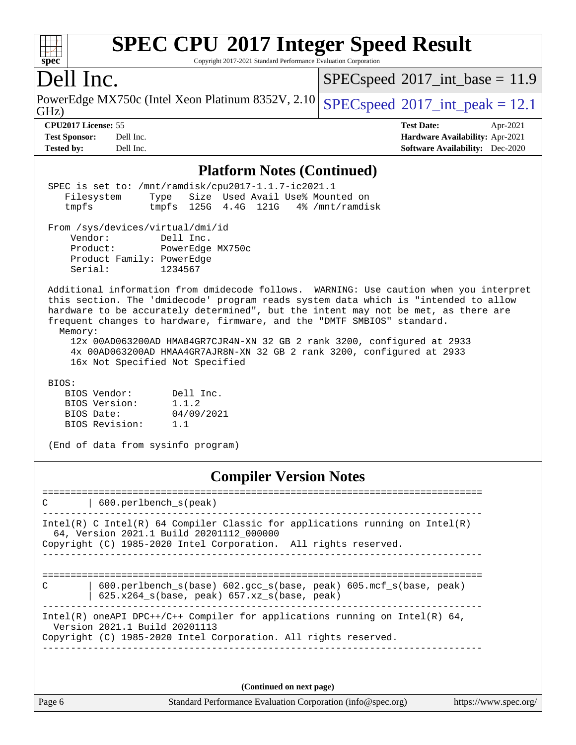| <b>SPEC CPU®2017 Integer Speed Result</b><br>Copyright 2017-2021 Standard Performance Evaluation Corporation<br>$spec^*$                                                                                                                                                                                                                                                                                                                                                                                                                          |                                                                                                            |
|---------------------------------------------------------------------------------------------------------------------------------------------------------------------------------------------------------------------------------------------------------------------------------------------------------------------------------------------------------------------------------------------------------------------------------------------------------------------------------------------------------------------------------------------------|------------------------------------------------------------------------------------------------------------|
| Dell Inc.                                                                                                                                                                                                                                                                                                                                                                                                                                                                                                                                         | $SPEC speed^{\circ}2017\_int\_base = 11.9$                                                                 |
| PowerEdge MX750c (Intel Xeon Platinum 8352V, 2.10)<br>GHz)                                                                                                                                                                                                                                                                                                                                                                                                                                                                                        | $SPEC speed^{\circ}2017\_int\_peak = 12.1$                                                                 |
| CPU2017 License: 55<br><b>Test Sponsor:</b><br>Dell Inc.<br><b>Tested by:</b><br>Dell Inc.                                                                                                                                                                                                                                                                                                                                                                                                                                                        | <b>Test Date:</b><br>Apr-2021<br>Hardware Availability: Apr-2021<br><b>Software Availability:</b> Dec-2020 |
| <b>Platform Notes (Continued)</b>                                                                                                                                                                                                                                                                                                                                                                                                                                                                                                                 |                                                                                                            |
| SPEC is set to: /mnt/ramdisk/cpu2017-1.1.7-ic2021.1<br>Size Used Avail Use% Mounted on<br>Filesystem<br>Type<br>tmpfs 125G 4.4G 121G<br>tmpfs                                                                                                                                                                                                                                                                                                                                                                                                     | 4% /mnt/ramdisk                                                                                            |
| From /sys/devices/virtual/dmi/id<br>Vendor:<br>Dell Inc.<br>Product:<br>PowerEdge MX750c<br>Product Family: PowerEdge<br>Serial:<br>1234567                                                                                                                                                                                                                                                                                                                                                                                                       |                                                                                                            |
| Additional information from dmidecode follows. WARNING: Use caution when you interpret<br>this section. The 'dmidecode' program reads system data which is "intended to allow<br>hardware to be accurately determined", but the intent may not be met, as there are<br>frequent changes to hardware, firmware, and the "DMTF SMBIOS" standard.<br>Memory:<br>12x 00AD063200AD HMA84GR7CJR4N-XN 32 GB 2 rank 3200, configured at 2933<br>4x 00AD063200AD HMAA4GR7AJR8N-XN 32 GB 2 rank 3200, configured at 2933<br>16x Not Specified Not Specified |                                                                                                            |
| BIOS:<br>BIOS Vendor:<br>Dell Inc.<br>BIOS Version:<br>1.1.2<br>04/09/2021<br>BIOS Date:<br>BIOS Revision:<br>1.1<br>(End of data from sysinfo program)                                                                                                                                                                                                                                                                                                                                                                                           |                                                                                                            |

# **[Compiler Version Notes](http://www.spec.org/auto/cpu2017/Docs/result-fields.html#CompilerVersionNotes)**

| 600.perlbench s(peak)<br>C                                                                                                           |
|--------------------------------------------------------------------------------------------------------------------------------------|
| Intel(R) C Intel(R) 64 Compiler Classic for applications running on Intel(R)<br>64, Version 2021.1 Build 20201112 000000             |
| Copyright (C) 1985-2020 Intel Corporation. All rights reserved.                                                                      |
|                                                                                                                                      |
| $600.$ perlbench $s(base) 602.$ qcc $s(base, peak) 605.$ mcf $s(base, peak)$<br>C<br>$625.x264$ s(base, peak) $657.xz$ s(base, peak) |
| Intel(R) oneAPI DPC++/C++ Compiler for applications running on Intel(R) $64$ ,<br>Version 2021.1 Build 20201113                      |
| Copyright (C) 1985-2020 Intel Corporation. All rights reserved.                                                                      |
|                                                                                                                                      |
|                                                                                                                                      |

**(Continued on next page)**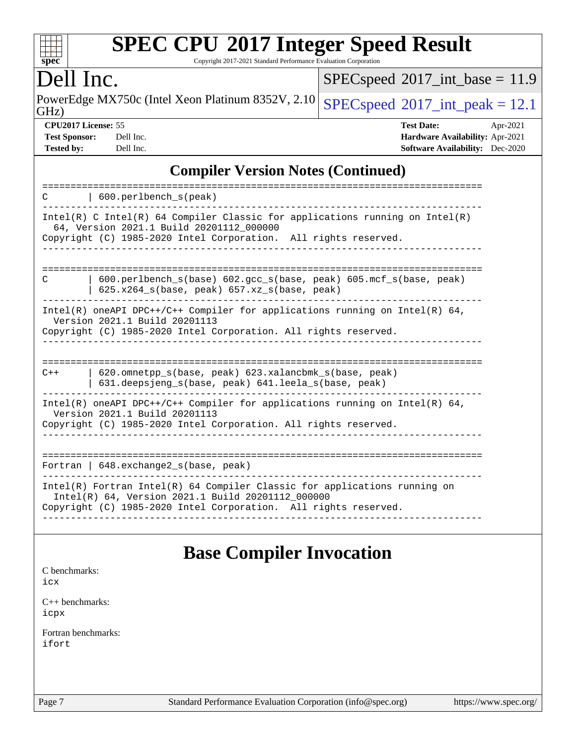

Copyright 2017-2021 Standard Performance Evaluation Corporation

## Dell Inc.

 $SPEC speed$ <sup>®</sup> $2017$ \_int\_base = 11.9

GHz) PowerEdge MX750c (Intel Xeon Platinum 8352V, 2.10 [SPECspeed](http://www.spec.org/auto/cpu2017/Docs/result-fields.html#SPECspeed2017intpeak)<sup>®</sup>[2017\\_int\\_peak = 1](http://www.spec.org/auto/cpu2017/Docs/result-fields.html#SPECspeed2017intpeak)2.1

**[CPU2017 License:](http://www.spec.org/auto/cpu2017/Docs/result-fields.html#CPU2017License)** 55 **[Test Date:](http://www.spec.org/auto/cpu2017/Docs/result-fields.html#TestDate)** Apr-2021 **[Test Sponsor:](http://www.spec.org/auto/cpu2017/Docs/result-fields.html#TestSponsor)** Dell Inc. **[Hardware Availability:](http://www.spec.org/auto/cpu2017/Docs/result-fields.html#HardwareAvailability)** Apr-2021 **[Tested by:](http://www.spec.org/auto/cpu2017/Docs/result-fields.html#Testedby)** Dell Inc. **[Software Availability:](http://www.spec.org/auto/cpu2017/Docs/result-fields.html#SoftwareAvailability)** Dec-2020

## **[Compiler Version Notes \(Continued\)](http://www.spec.org/auto/cpu2017/Docs/result-fields.html#CompilerVersionNotes)**

| $600. perlbench_s(peak)$<br>C                                                                                                                                                                       |
|-----------------------------------------------------------------------------------------------------------------------------------------------------------------------------------------------------|
| Intel(R) C Intel(R) 64 Compiler Classic for applications running on Intel(R)<br>64, Version 2021.1 Build 20201112_000000<br>Copyright (C) 1985-2020 Intel Corporation. All rights reserved.         |
| $600.$ perlbench $s(base) 602.$ qcc $s(base, peak) 605.$ mcf $s(base, peak)$<br>C<br>$625.x264$ s(base, peak) $657.xz$ s(base, peak)                                                                |
| Intel(R) oneAPI DPC++/C++ Compiler for applications running on Intel(R) $64$ ,<br>Version 2021.1 Build 20201113<br>Copyright (C) 1985-2020 Intel Corporation. All rights reserved.                  |
| 620.omnetpp_s(base, peak) 623.xalancbmk_s(base, peak)<br>$C++$<br>631.deepsjeng_s(base, peak) 641.leela_s(base, peak)                                                                               |
| Intel(R) oneAPI DPC++/C++ Compiler for applications running on Intel(R) $64$ ,<br>Version 2021.1 Build 20201113<br>Copyright (C) 1985-2020 Intel Corporation. All rights reserved.                  |
| Fortran   648. exchange2_s(base, peak)                                                                                                                                                              |
| $Intel(R)$ Fortran Intel(R) 64 Compiler Classic for applications running on<br>Intel(R) 64, Version 2021.1 Build 20201112_000000<br>Copyright (C) 1985-2020 Intel Corporation. All rights reserved. |

# **[Base Compiler Invocation](http://www.spec.org/auto/cpu2017/Docs/result-fields.html#BaseCompilerInvocation)**

[C benchmarks](http://www.spec.org/auto/cpu2017/Docs/result-fields.html#Cbenchmarks): [icx](http://www.spec.org/cpu2017/results/res2021q2/cpu2017-20210510-26193.flags.html#user_CCbase_intel_icx_fe2d28d19ae2a5db7c42fe0f2a2aed77cb715edd4aeb23434404a8be6683fe239869bb6ca8154ca98265c2e3b9226a719a0efe2953a4a7018c379b7010ccf087)

[C++ benchmarks:](http://www.spec.org/auto/cpu2017/Docs/result-fields.html#CXXbenchmarks) [icpx](http://www.spec.org/cpu2017/results/res2021q2/cpu2017-20210510-26193.flags.html#user_CXXbase_intel_icpx_1e918ed14c436bf4b9b7c8bcdd51d4539fc71b3df010bd1e9f8732d9c34c2b2914e48204a846820f3c0ebb4095dea797a5c30b458ac0b6dffac65d78f781f5ca)

[Fortran benchmarks](http://www.spec.org/auto/cpu2017/Docs/result-fields.html#Fortranbenchmarks): [ifort](http://www.spec.org/cpu2017/results/res2021q2/cpu2017-20210510-26193.flags.html#user_FCbase_intel_ifort_8111460550e3ca792625aed983ce982f94888b8b503583aa7ba2b8303487b4d8a21a13e7191a45c5fd58ff318f48f9492884d4413fa793fd88dd292cad7027ca)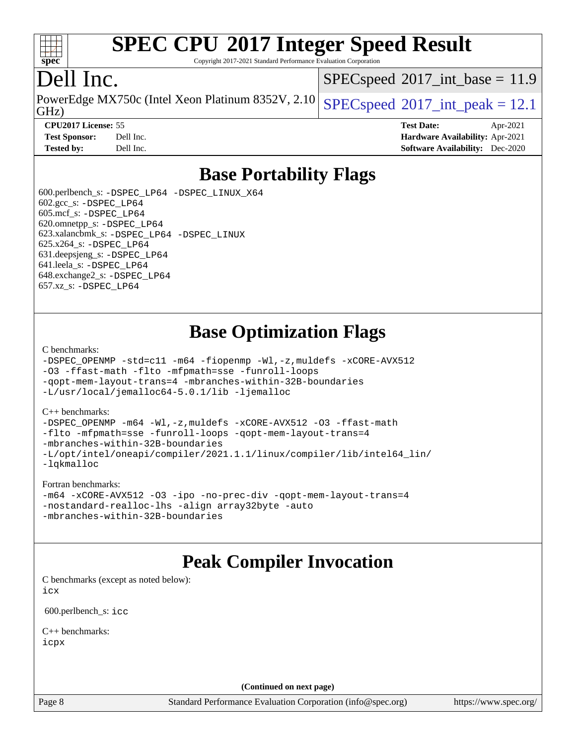

Copyright 2017-2021 Standard Performance Evaluation Corporation

# Dell Inc.

GHz) PowerEdge MX750c (Intel Xeon Platinum 8352V, 2.10 [SPECspeed](http://www.spec.org/auto/cpu2017/Docs/result-fields.html#SPECspeed2017intpeak)®[2017\\_int\\_peak = 1](http://www.spec.org/auto/cpu2017/Docs/result-fields.html#SPECspeed2017intpeak)2.1

 $SPECspeed^{\circ}2017\_int\_base = 11.9$  $SPECspeed^{\circ}2017\_int\_base = 11.9$ 

**[CPU2017 License:](http://www.spec.org/auto/cpu2017/Docs/result-fields.html#CPU2017License)** 55 **[Test Date:](http://www.spec.org/auto/cpu2017/Docs/result-fields.html#TestDate)** Apr-2021 **[Test Sponsor:](http://www.spec.org/auto/cpu2017/Docs/result-fields.html#TestSponsor)** Dell Inc. **[Hardware Availability:](http://www.spec.org/auto/cpu2017/Docs/result-fields.html#HardwareAvailability)** Apr-2021 **[Tested by:](http://www.spec.org/auto/cpu2017/Docs/result-fields.html#Testedby)** Dell Inc. **[Software Availability:](http://www.spec.org/auto/cpu2017/Docs/result-fields.html#SoftwareAvailability)** Dec-2020

# **[Base Portability Flags](http://www.spec.org/auto/cpu2017/Docs/result-fields.html#BasePortabilityFlags)**

 600.perlbench\_s: [-DSPEC\\_LP64](http://www.spec.org/cpu2017/results/res2021q2/cpu2017-20210510-26193.flags.html#b600.perlbench_s_basePORTABILITY_DSPEC_LP64) [-DSPEC\\_LINUX\\_X64](http://www.spec.org/cpu2017/results/res2021q2/cpu2017-20210510-26193.flags.html#b600.perlbench_s_baseCPORTABILITY_DSPEC_LINUX_X64) 602.gcc\_s: [-DSPEC\\_LP64](http://www.spec.org/cpu2017/results/res2021q2/cpu2017-20210510-26193.flags.html#suite_basePORTABILITY602_gcc_s_DSPEC_LP64) 605.mcf\_s: [-DSPEC\\_LP64](http://www.spec.org/cpu2017/results/res2021q2/cpu2017-20210510-26193.flags.html#suite_basePORTABILITY605_mcf_s_DSPEC_LP64) 620.omnetpp\_s: [-DSPEC\\_LP64](http://www.spec.org/cpu2017/results/res2021q2/cpu2017-20210510-26193.flags.html#suite_basePORTABILITY620_omnetpp_s_DSPEC_LP64) 623.xalancbmk\_s: [-DSPEC\\_LP64](http://www.spec.org/cpu2017/results/res2021q2/cpu2017-20210510-26193.flags.html#suite_basePORTABILITY623_xalancbmk_s_DSPEC_LP64) [-DSPEC\\_LINUX](http://www.spec.org/cpu2017/results/res2021q2/cpu2017-20210510-26193.flags.html#b623.xalancbmk_s_baseCXXPORTABILITY_DSPEC_LINUX) 625.x264\_s: [-DSPEC\\_LP64](http://www.spec.org/cpu2017/results/res2021q2/cpu2017-20210510-26193.flags.html#suite_basePORTABILITY625_x264_s_DSPEC_LP64) 631.deepsjeng\_s: [-DSPEC\\_LP64](http://www.spec.org/cpu2017/results/res2021q2/cpu2017-20210510-26193.flags.html#suite_basePORTABILITY631_deepsjeng_s_DSPEC_LP64) 641.leela\_s: [-DSPEC\\_LP64](http://www.spec.org/cpu2017/results/res2021q2/cpu2017-20210510-26193.flags.html#suite_basePORTABILITY641_leela_s_DSPEC_LP64) 648.exchange2\_s: [-DSPEC\\_LP64](http://www.spec.org/cpu2017/results/res2021q2/cpu2017-20210510-26193.flags.html#suite_basePORTABILITY648_exchange2_s_DSPEC_LP64) 657.xz\_s: [-DSPEC\\_LP64](http://www.spec.org/cpu2017/results/res2021q2/cpu2017-20210510-26193.flags.html#suite_basePORTABILITY657_xz_s_DSPEC_LP64)

# **[Base Optimization Flags](http://www.spec.org/auto/cpu2017/Docs/result-fields.html#BaseOptimizationFlags)**

[C benchmarks](http://www.spec.org/auto/cpu2017/Docs/result-fields.html#Cbenchmarks):

```
-DSPEC_OPENMP -std=c11 -m64 -fiopenmp -Wl,-z,muldefs -xCORE-AVX512
-O3 -ffast-math -flto -mfpmath=sse -funroll-loops
-qopt-mem-layout-trans=4 -mbranches-within-32B-boundaries
-L/usr/local/jemalloc64-5.0.1/lib -ljemalloc
```
#### [C++ benchmarks:](http://www.spec.org/auto/cpu2017/Docs/result-fields.html#CXXbenchmarks)

[-DSPEC\\_OPENMP](http://www.spec.org/cpu2017/results/res2021q2/cpu2017-20210510-26193.flags.html#suite_CXXbase_DSPEC_OPENMP) [-m64](http://www.spec.org/cpu2017/results/res2021q2/cpu2017-20210510-26193.flags.html#user_CXXbase_m64-icc) [-Wl,-z,muldefs](http://www.spec.org/cpu2017/results/res2021q2/cpu2017-20210510-26193.flags.html#user_CXXbase_link_force_multiple1_b4cbdb97b34bdee9ceefcfe54f4c8ea74255f0b02a4b23e853cdb0e18eb4525ac79b5a88067c842dd0ee6996c24547a27a4b99331201badda8798ef8a743f577) [-xCORE-AVX512](http://www.spec.org/cpu2017/results/res2021q2/cpu2017-20210510-26193.flags.html#user_CXXbase_f-xCORE-AVX512) [-O3](http://www.spec.org/cpu2017/results/res2021q2/cpu2017-20210510-26193.flags.html#user_CXXbase_f-O3) [-ffast-math](http://www.spec.org/cpu2017/results/res2021q2/cpu2017-20210510-26193.flags.html#user_CXXbase_f-ffast-math) [-flto](http://www.spec.org/cpu2017/results/res2021q2/cpu2017-20210510-26193.flags.html#user_CXXbase_f-flto) [-mfpmath=sse](http://www.spec.org/cpu2017/results/res2021q2/cpu2017-20210510-26193.flags.html#user_CXXbase_f-mfpmath_70eb8fac26bde974f8ab713bc9086c5621c0b8d2f6c86f38af0bd7062540daf19db5f3a066d8c6684be05d84c9b6322eb3b5be6619d967835195b93d6c02afa1) [-funroll-loops](http://www.spec.org/cpu2017/results/res2021q2/cpu2017-20210510-26193.flags.html#user_CXXbase_f-funroll-loops) [-qopt-mem-layout-trans=4](http://www.spec.org/cpu2017/results/res2021q2/cpu2017-20210510-26193.flags.html#user_CXXbase_f-qopt-mem-layout-trans_fa39e755916c150a61361b7846f310bcdf6f04e385ef281cadf3647acec3f0ae266d1a1d22d972a7087a248fd4e6ca390a3634700869573d231a252c784941a8) [-mbranches-within-32B-boundaries](http://www.spec.org/cpu2017/results/res2021q2/cpu2017-20210510-26193.flags.html#user_CXXbase_f-mbranches-within-32B-boundaries) [-L/opt/intel/oneapi/compiler/2021.1.1/linux/compiler/lib/intel64\\_lin/](http://www.spec.org/cpu2017/results/res2021q2/cpu2017-20210510-26193.flags.html#user_CXXbase_linkpath_765a8c93c4ea33dfc565a33ecb48f4f7d02a6338709b3b362f341eb203a06426ce1d12ded4c7809f6ab6cf0e9f5515cffeb4efc405b63f85dc27a83bbbdeb3a3) [-lqkmalloc](http://www.spec.org/cpu2017/results/res2021q2/cpu2017-20210510-26193.flags.html#user_CXXbase_qkmalloc_link_lib_79a818439969f771c6bc311cfd333c00fc099dad35c030f5aab9dda831713d2015205805422f83de8875488a2991c0a156aaa600e1f9138f8fc37004abc96dc5)

#### [Fortran benchmarks](http://www.spec.org/auto/cpu2017/Docs/result-fields.html#Fortranbenchmarks):

```
-m64 -xCORE-AVX512 -O3 -ipo -no-prec-div -qopt-mem-layout-trans=4
-nostandard-realloc-lhs -align array32byte -auto
-mbranches-within-32B-boundaries
```
## **[Peak Compiler Invocation](http://www.spec.org/auto/cpu2017/Docs/result-fields.html#PeakCompilerInvocation)**

[C benchmarks \(except as noted below\)](http://www.spec.org/auto/cpu2017/Docs/result-fields.html#Cbenchmarksexceptasnotedbelow): [icx](http://www.spec.org/cpu2017/results/res2021q2/cpu2017-20210510-26193.flags.html#user_CCpeak_intel_icx_fe2d28d19ae2a5db7c42fe0f2a2aed77cb715edd4aeb23434404a8be6683fe239869bb6ca8154ca98265c2e3b9226a719a0efe2953a4a7018c379b7010ccf087)

600.perlbench\_s: [icc](http://www.spec.org/cpu2017/results/res2021q2/cpu2017-20210510-26193.flags.html#user_peakCCLD600_perlbench_s_intel_icc_66fc1ee009f7361af1fbd72ca7dcefbb700085f36577c54f309893dd4ec40d12360134090235512931783d35fd58c0460139e722d5067c5574d8eaf2b3e37e92)

[C++ benchmarks:](http://www.spec.org/auto/cpu2017/Docs/result-fields.html#CXXbenchmarks) [icpx](http://www.spec.org/cpu2017/results/res2021q2/cpu2017-20210510-26193.flags.html#user_CXXpeak_intel_icpx_1e918ed14c436bf4b9b7c8bcdd51d4539fc71b3df010bd1e9f8732d9c34c2b2914e48204a846820f3c0ebb4095dea797a5c30b458ac0b6dffac65d78f781f5ca)

**(Continued on next page)**

Page 8 Standard Performance Evaluation Corporation [\(info@spec.org\)](mailto:info@spec.org) <https://www.spec.org/>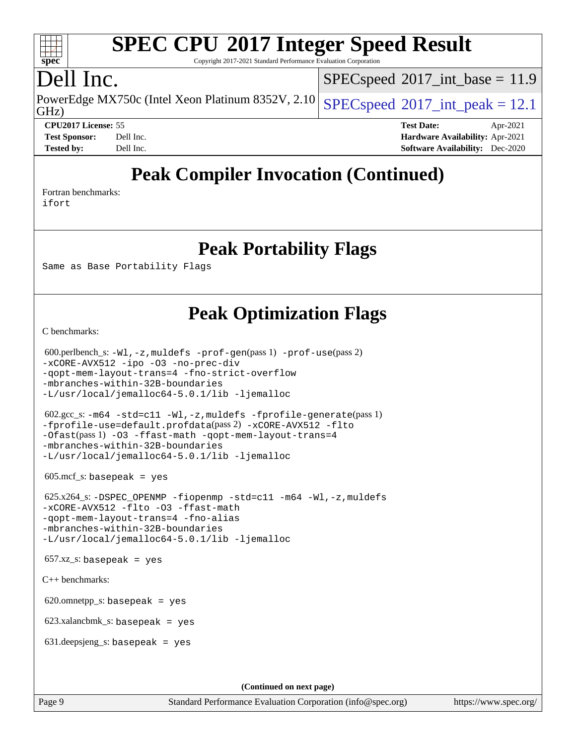### $+\ +$ **[spec](http://www.spec.org/)**

# **[SPEC CPU](http://www.spec.org/auto/cpu2017/Docs/result-fields.html#SPECCPU2017IntegerSpeedResult)[2017 Integer Speed Result](http://www.spec.org/auto/cpu2017/Docs/result-fields.html#SPECCPU2017IntegerSpeedResult)**

Copyright 2017-2021 Standard Performance Evaluation Corporation

# Dell Inc.

PowerEdge MX750c (Intel Xeon Platinum 8352V, 2.10 [SPECspeed](http://www.spec.org/auto/cpu2017/Docs/result-fields.html#SPECspeed2017intpeak)®[2017\\_int\\_peak = 1](http://www.spec.org/auto/cpu2017/Docs/result-fields.html#SPECspeed2017intpeak)2.1  $SPECspeed^{\circ}2017\_int\_base = 11.9$  $SPECspeed^{\circ}2017\_int\_base = 11.9$ 

GHz)

**[CPU2017 License:](http://www.spec.org/auto/cpu2017/Docs/result-fields.html#CPU2017License)** 55 **[Test Date:](http://www.spec.org/auto/cpu2017/Docs/result-fields.html#TestDate)** Apr-2021 **[Test Sponsor:](http://www.spec.org/auto/cpu2017/Docs/result-fields.html#TestSponsor)** Dell Inc. **[Hardware Availability:](http://www.spec.org/auto/cpu2017/Docs/result-fields.html#HardwareAvailability)** Apr-2021 **[Tested by:](http://www.spec.org/auto/cpu2017/Docs/result-fields.html#Testedby)** Dell Inc. **[Software Availability:](http://www.spec.org/auto/cpu2017/Docs/result-fields.html#SoftwareAvailability)** Dec-2020

# **[Peak Compiler Invocation \(Continued\)](http://www.spec.org/auto/cpu2017/Docs/result-fields.html#PeakCompilerInvocation)**

[Fortran benchmarks](http://www.spec.org/auto/cpu2017/Docs/result-fields.html#Fortranbenchmarks): [ifort](http://www.spec.org/cpu2017/results/res2021q2/cpu2017-20210510-26193.flags.html#user_FCpeak_intel_ifort_8111460550e3ca792625aed983ce982f94888b8b503583aa7ba2b8303487b4d8a21a13e7191a45c5fd58ff318f48f9492884d4413fa793fd88dd292cad7027ca)

**[Peak Portability Flags](http://www.spec.org/auto/cpu2017/Docs/result-fields.html#PeakPortabilityFlags)**

Same as Base Portability Flags

# **[Peak Optimization Flags](http://www.spec.org/auto/cpu2017/Docs/result-fields.html#PeakOptimizationFlags)**

[C benchmarks](http://www.spec.org/auto/cpu2017/Docs/result-fields.html#Cbenchmarks):

```
 600.perlbench_s: -Wl,-z,muldefs -prof-gen(pass 1) -prof-use(pass 2)
-xCORE-AVX512 -ipo -O3 -no-prec-div
-qopt-mem-layout-trans=4 -fno-strict-overflow
-mbranches-within-32B-boundaries
-L/usr/local/jemalloc64-5.0.1/lib -ljemalloc
 602.gcc_s: -m64 -std=c11 -Wl,-z,muldefs -fprofile-generate(pass 1)
-fprofile-use=default.profdata(pass 2) -xCORE-AVX512 -flto
-Ofast(pass 1) -O3 -ffast-math -qopt-mem-layout-trans=4
-mbranches-within-32B-boundaries
-L/usr/local/jemalloc64-5.0.1/lib -ljemalloc
605 \text{.mcf}\text{.s.} basepeak = yes
 625.x264_s: -DSPEC_OPENMP -fiopenmp -std=c11 -m64 -Wl,-z,muldefs
-xCORE-AVX512 -flto -O3 -ffast-math
-qopt-mem-layout-trans=4 -fno-alias
-mbranches-within-32B-boundaries
-L/usr/local/jemalloc64-5.0.1/lib -ljemalloc
657.xz_s: basepeak = yes
C++ benchmarks: 
620.omnetpp_s: basepeak = yes
 623.xalancbmk_s: basepeak = yes
 631.deepsjeng_s: basepeak = yes
                                       (Continued on next page)
```